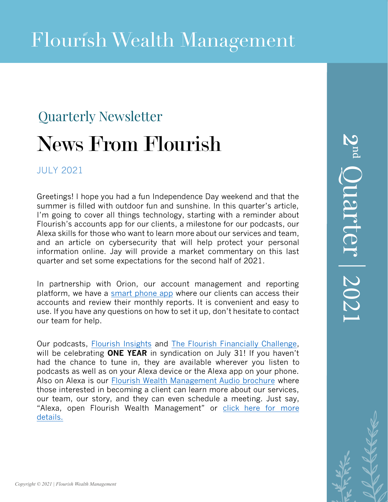# Quarterly Newsletter News From Flourish

### JULY 2021

Greetings! I hope you had a fun Independence Day weekend and that the summer is filled with outdoor fun and sunshine. In this quarter's article, I'm going to cover all things technology, starting with a reminder about Flourish's accounts app for our clients, a milestone for our podcasts, our Alexa skills for those who want to learn more about our services and team, and an article on cybersecurity that will help protect your personal information online. Jay will provide a market commentary on this last quarter and set some expectations for the second half of 2021.

In partnership with Orion, our account management and reporting platform, we have a [smart phone app](https://apps.apple.com/us/app/flourish-wealth-management/id1145982587) where our clients can access their accounts and review their monthly reports. It is convenient and easy to use. If you have any questions on how to set it up, don't hesitate to contact our team for help.

Our podcasts, [Flourish](https://podcasts.apple.com/us/podcast/flourish-insights/id1525765007) Insights and The Flourish [Financially](https://podcasts.apple.com/us/podcast/the-flourish-financially-challenge/id1525764665) Challenge, will be celebrating **ONE YEAR** in syndication on July 31! If you haven't had the chance to tune in, they are available wherever you listen to podcasts as well as on your Alexa device or the Alexa app on your phone. Also on Alexa is our [Flourish Wealth Management Audio brochure](https://www.amazon.com/dp/B08F74JC37/?ref-suffix=ss_copy) where those interested in becoming a client can learn more about our services, our team, our story, and they can even schedule a meeting. Just say, ["Alexa, open Flourish Wealth Management" or](https://www.flourishwealthmanagement.com/resources/alexa) click here for more details.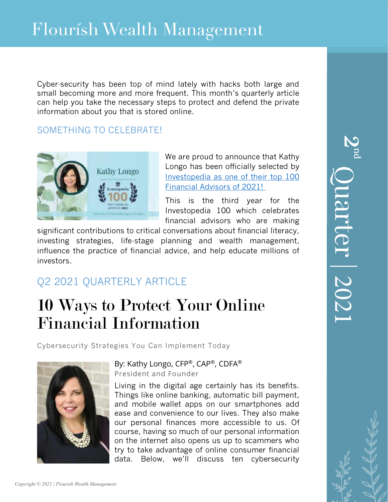Cyber-security has been top of mind lately with hacks both large and small becoming more and more frequent. This month's quarterly article can help you take the necessary steps to protect and defend the private information about you that is stored online.

### SOMETHING TO CELEBRATE!



We are proud to announce that Kathy Longo has been officially selected by [Investopedia as one of their top 100](https://www.flourishwealthmanagement.com/resources/in-the-news/kathy-longo-named-one-of-investopedia-s-top-100-financial-advisors-copy)  [Financial Advisors of 2021!](https://www.flourishwealthmanagement.com/resources/in-the-news/kathy-longo-named-one-of-investopedia-s-top-100-financial-advisors-copy)

This is the third year for the Investopedia 100 which celebrates financial advisors who are making

significant contributions to critical conversations about financial literacy, investing strategies, life-stage planning and wealth management, influence the practice of financial advice, and help educate millions of investors.

## Q2 2021 QUARTERLY ARTICLE

## 10 Ways to Protect Your Online Financial Information

Cybersecurity Strategies You Can Implement Today



By: Kathy Longo, CFP®, CAP®, CDFA® President and Founder

Living in the digital age certainly has its benefits. Things like online banking, automatic bill payment, and mobile wallet apps on our smartphones add ease and convenience to our lives. They also make our personal finances more accessible to us. Of course, having so much of our personal information on the internet also opens us up to scammers who try to take advantage of online consumer financial data. Below, we'll discuss ten cybersecurity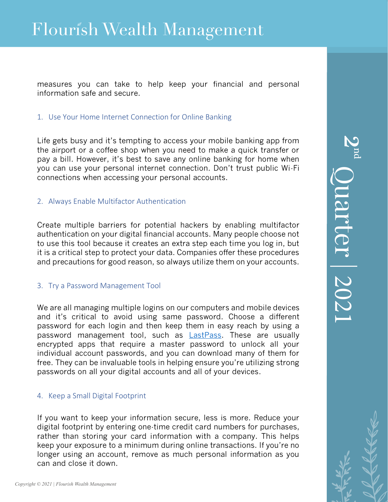measures you can take to help keep your financial and personal information safe and secure.

#### 1. Use Your Home Internet Connection for Online Banking

Life gets busy and it's tempting to access your mobile banking app from the airport or a coffee shop when you need to make a quick transfer or pay a bill. However, it's best to save any online banking for home when you can use your personal internet connection. Don't trust public Wi-Fi connections when accessing your personal accounts.

#### 2. Always Enable Multifactor Authentication

Create multiple barriers for potential hackers by enabling multifactor authentication on your digital financial accounts. Many people choose not to use this tool because it creates an extra step each time you log in, but it is a critical step to protect your data. Companies offer these procedures and precautions for good reason, so always utilize them on your accounts.

#### 3. Try a Password Management Tool

We are all managing multiple logins on our computers and mobile devices and it's critical to avoid using same password. Choose a different password for each login and then keep them in easy reach by using a password management tool, such as **LastPass**. These are usually encrypted apps that require a master password to unlock all your individual account passwords, and you can download many of them for free. They can be invaluable tools in helping ensure you're utilizing strong passwords on all your digital accounts and all of your devices.

#### 4. Keep a Small Digital Footprint

If you want to keep your information secure, less is more. Reduce your digital footprint by entering one-time credit card numbers for purchases, rather than storing your card information with a company. This helps keep your exposure to a minimum during online transactions. If you're no longer using an account, remove as much personal information as you can and close it down.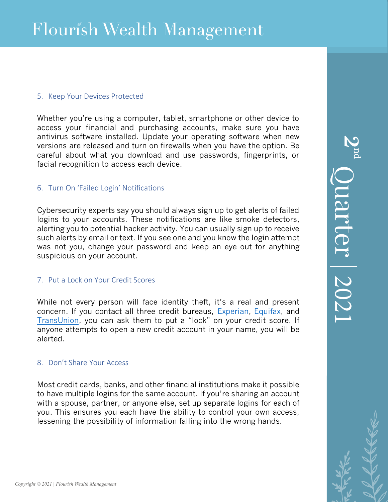#### 5. Keep Your Devices Protected

Whether you're using a computer, tablet, smartphone or other device to access your financial and purchasing accounts, make sure you have antivirus software installed. Update your operating software when new versions are released and turn on firewalls when you have the option. Be careful about what you download and use passwords, fingerprints, or facial recognition to access each device.

#### 6. Turn On 'Failed Login' Notifications

Cybersecurity experts say you should always sign up to get alerts of failed logins to your accounts. These notifications are like smoke detectors, alerting you to potential hacker activity. You can usually sign up to receive such alerts by email or text. If you see one and you know the login attempt was not you, change your password and keep an eye out for anything suspicious on your account.

#### 7. Put a Lock on Your Credit Scores

While not every person will face identity theft, it's a real and present concern. If you contact all three credit bureaus, [Experian,](https://www.experian.com/) [Equifax,](https://www.equifax.com/personal/) and [TransUnion](https://www.transunion.com/), you can ask them to put a "lock" on your credit score. If anyone attempts to open a new credit account in your name, you will be alerted.

#### 8. Don't Share Your Access

Most credit cards, banks, and other financial institutions make it possible to have multiple logins for the same account. If you're sharing an account with a spouse, partner, or anyone else, set up separate logins for each of you. This ensures you each have the ability to control your own access, lessening the possibility of information falling into the wrong hands.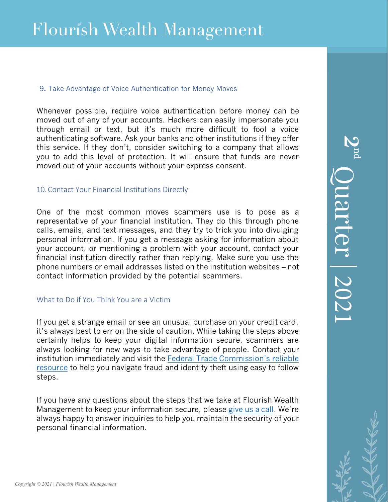#### 9**.** Take Advantage of Voice Authentication for Money Moves

Whenever possible, require voice authentication before money can be moved out of any of your accounts. Hackers can easily impersonate you through email or text, but it's much more difficult to fool a voice authenticating software. Ask your banks and other institutions if they offer this service. If they don't, consider switching to a company that allows you to add this level of protection. It will ensure that funds are never moved out of your accounts without your express consent.

#### 10. Contact Your Financial Institutions Directly

One of the most common moves scammers use is to pose as a representative of your financial institution. They do this through phone calls, emails, and text messages, and they try to trick you into divulging personal information. If you get a message asking for information about your account, or mentioning a problem with your account, contact your financial institution directly rather than replying. Make sure you use the phone numbers or email addresses listed on the institution websites – not contact information provided by the potential scammers.

#### What to Do if You Think You are a Victim

If you get a strange email or see an unusual purchase on your credit card, it's always best to err on the side of caution. [While taking the steps above](https://www.ftc.gov/)  [certainly](https://www.ftc.gov/) helps to keep your digital information secure, scammers are always looking for new ways to take advantage of people. Contact your institution immediately and visit the Federal Trade Commission's reliable resource to help you navigate fraud and identity theft using easy to follow steps.

If you have any questions about the steps that we take at Flourish Wealth Management to keep your information secure, pleas[e give](https://www.flourishwealthmanagement.com/contact) us a call. We're always happy to answer inquiries to help you maintain the security of your personal financial information.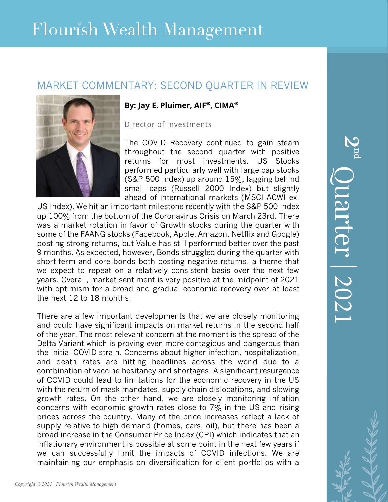## Flourish Wealth Management

## MARKET COMMENTARY: SECOND QUARTER IN REVIEW



#### **By: Jay E. Pluimer, AIF®, CIMA®**

Director of Investments

The COVID Recovery continued to gain steam throughout the second quarter with positive returns for most investments. US Stocks performed particularly well with large cap stocks (S&P 500 Index) up around 15%, lagging behind small caps (Russell 2000 Index) but slightly ahead of international markets (MSCI ACWI ex-

US Index). We hit an important milestone recently with the S&P 500 Index up 100% from the bottom of the Coronavirus Crisis on March 23rd. There was a market rotation in favor of Growth stocks during the quarter with some of the FAANG stocks (Facebook, Apple, Amazon, Netflix and Google) posting strong returns, but Value has still performed better over the past 9 months. As expected, however, Bonds struggled during the quarter with short-term and core bonds both posting negative returns, a theme that we expect to repeat on a relatively consistent basis over the next few years. Overall, market sentiment is very positive at the midpoint of 2021 with optimism for a broad and gradual economic recovery over at least the next 12 to 18 months.

There are a few important developments that we are closely monitoring and could have significant impacts on market returns in the second half of the year. The most relevant concern at the moment is the spread of the Delta Variant which is proving even more contagious and dangerous than the initial COVID strain. Concerns about higher infection, hospitalization, and death rates are hitting headlines across the world due to a combination of vaccine hesitancy and shortages. A significant resurgence of COVID could lead to limitations for the economic recovery in the US with the return of mask mandates, supply chain dislocations, and slowing growth rates. On the other hand, we are closely monitoring inflation concerns with economic growth rates close to  $7\%$  in the US and rising prices across the country. Many of the price increases reflect a lack of supply relative to high demand (homes, cars, oil), but there has been a broad increase in the Consumer Price Index (CPI) which indicates that an inflationary environment is possible at some point in the next few years if we can successfully limit the impacts of COVID infections. We are maintaining our emphasis on diversification for client portfolios with a